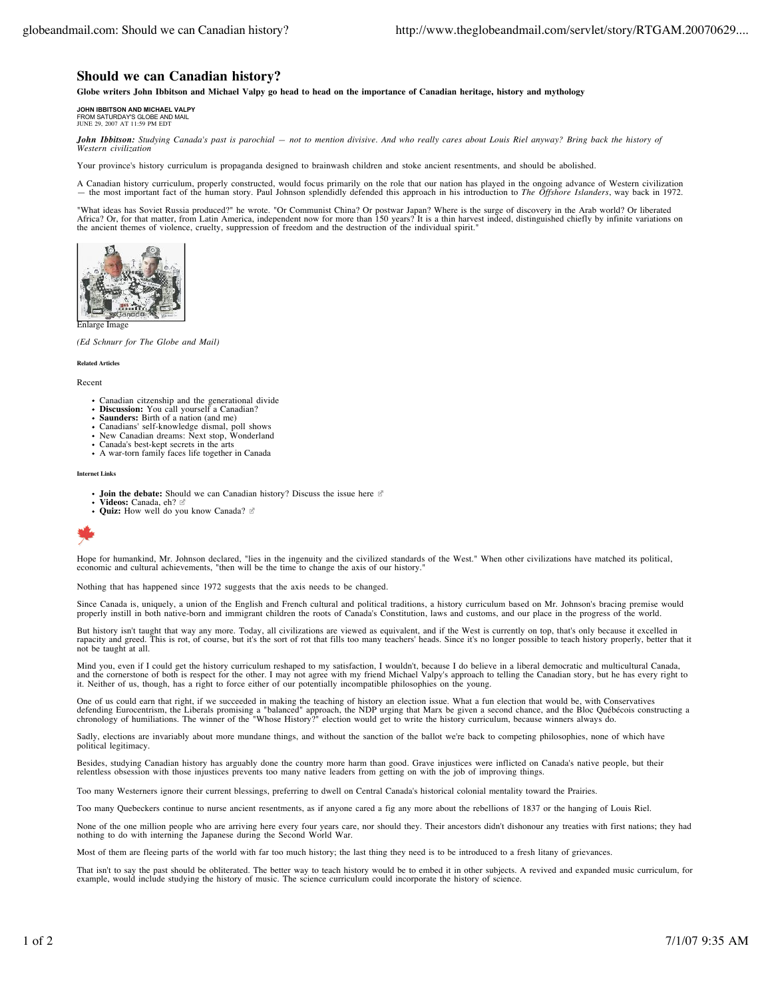## **Should we can Canadian history?**

**Globe writers John Ibbitson and Michael Valpy go head to head on the importance of Canadian heritage, history and mythology**

**JOHN IBBITSON AND MICHAEL VALPY** FROM SATURDAY'S GLOBE AND MAIL JUNE 29, 2007 AT 11:59 PM EDT

*John Ibbitson: Studying Canada's past is parochial — not to mention divisive. And who really cares about Louis Riel anyway? Bring back the history of Western civilization*

Your province's history curriculum is propaganda designed to brainwash children and stoke ancient resentments, and should be abolished.

A Canadian history curriculum, properly constructed, would focus primarily on the role that our nation has played in the ongoing advance of Western civilization - the most important fact of the human story. Paul Johnson sp

"What ideas has Soviet Russia produced?" he wrote. "Or Communist China? Or postwar Japan? Where is the surge of discovery in the Arab world? Or liberated Africa? Or, for that matter, from Latin America, independent now for more than 150 years? It is a thin harvest indeed, distinguished chiefly by infinite variations on the ancient themes of violence, cruelty, suppression of



Enlarge Image

*(Ed Schnurr for The Globe and Mail)*

**Related Articles**

Recent

- Canadian citzenship and the generational divide **Discussion:** You call yourself a Canadian?
- 
- **Saunders:** Birth of a nation (and me)
- Canadians' self-knowledge dismal, poll shows New Canadian dreams: Next stop, Wonderland
- Canada's best-kept secrets in the arts<br>• A war-torn family faces life together in Canada
- 

**Internet Links**

- **Join the debate:** Should we can Canadian history? Discuss the issue here
- **Videos:** Canada, eh? • Quiz: How well do you know Canada?



Hope for humankind, Mr. Johnson declared, "lies in the ingenuity and the civilized standards of the West." When other civilizations have matched its political, economic and cultural achievements, "then will be the time to change the axis of our history.

Nothing that has happened since 1972 suggests that the axis needs to be changed.

Since Canada is, uniquely, a union of the English and French cultural and political traditions, a history curriculum based on Mr. Johnson's bracing premise would<br>properly instill in both native-born and immigrant children

But history isn't taught that way any more. Today, all civilizations are viewed as equivalent, and if the West is currently on top, that's only because it excelled in<br>rapacity and greed. This is rot, of course, but it's th

Mind you, even if I could get the history curriculum reshaped to my satisfaction, I wouldn't, because I do believe in a liberal democratic and multicultural Canada,<br>and the cornerstone of both is respect for the other. I m

One of us could earn that right, if we succeeded in making the teaching of history an election issue. What a fun election that would be, with Conservatives defending Eurocentrism, the Liberals promising a "balanced" approach, the NDP urging that Marx be given a second chance, and the Bloc Québécois constructing a chronology of humiliations. The winner of the "Whose History?"

Sadly, elections are invariably about more mundane things, and without the sanction of the ballot we're back to competing philosophies, none of which have political legitimacy.

Besides, studying Canadian history has arguably done the country more harm than good. Grave injustices were inflicted on Canada's native people, but their<br>relentless obsession with those injustices prevents too many native

Too many Westerners ignore their current blessings, preferring to dwell on Central Canada's historical colonial mentality toward the Prairies.

Too many Quebeckers continue to nurse ancient resentments, as if anyone cared a fig any more about the rebellions of 1837 or the hanging of Louis Riel.

None of the one million people who are arriving here every four years care, nor should they. Their ancestors didn't dishonour any treaties with first nations; they had nothing to do with interning the Japanese during the Second World War.

Most of them are fleeing parts of the world with far too much history; the last thing they need is to be introduced to a fresh litany of grievances.

That isn't to say the past should be obliterated. The better way to teach history would be to embed it in other subjects. A revived and expanded music curriculum, for example, would include studying the history of music. The science curriculum could incorporate the history of science.